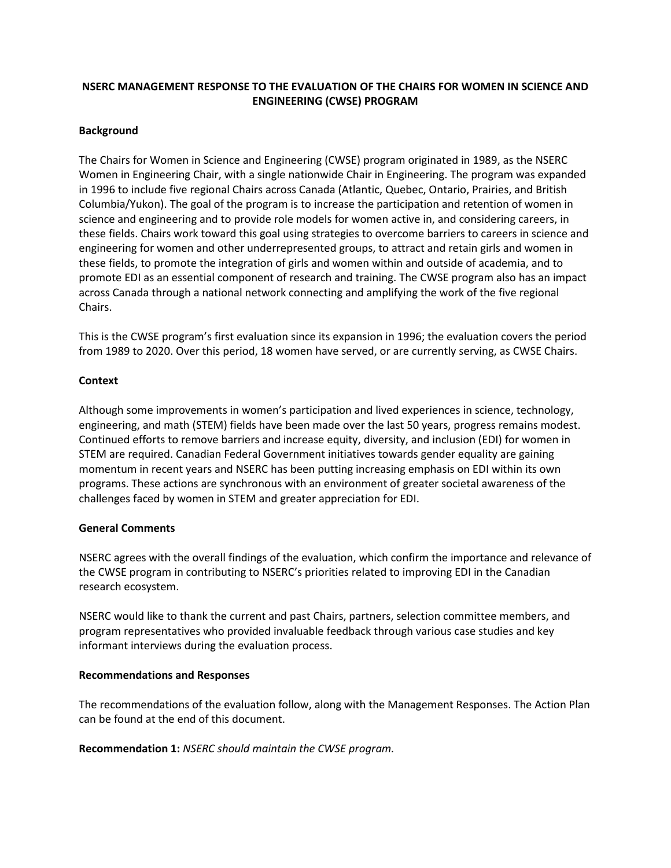# **NSERC MANAGEMENT RESPONSE TO THE EVALUATION OF THE CHAIRS FOR WOMEN IN SCIENCE AND ENGINEERING (CWSE) PROGRAM**

## **Background**

The Chairs for Women in Science and Engineering (CWSE) program originated in 1989, as the NSERC Women in Engineering Chair, with a single nationwide Chair in Engineering. The program was expanded in 1996 to include five regional Chairs across Canada (Atlantic, Quebec, Ontario, Prairies, and British Columbia/Yukon). The goal of the program is to increase the participation and retention of women in science and engineering and to provide role models for women active in, and considering careers, in these fields. Chairs work toward this goal using strategies to overcome barriers to careers in science and engineering for women and other underrepresented groups, to attract and retain girls and women in these fields, to promote the integration of girls and women within and outside of academia, and to promote EDI as an essential component of research and training. The CWSE program also has an impact across Canada through a national network connecting and amplifying the work of the five regional Chairs.

This is the CWSE program's first evaluation since its expansion in 1996; the evaluation covers the period from 1989 to 2020. Over this period, 18 women have served, or are currently serving, as CWSE Chairs.

## **Context**

Although some improvements in women's participation and lived experiences in science, technology, engineering, and math (STEM) fields have been made over the last 50 years, progress remains modest. Continued efforts to remove barriers and increase equity, diversity, and inclusion (EDI) for women in STEM are required. Canadian Federal Government initiatives towards gender equality are gaining momentum in recent years and NSERC has been putting increasing emphasis on EDI within its own programs. These actions are synchronous with an environment of greater societal awareness of the challenges faced by women in STEM and greater appreciation for EDI.

## **General Comments**

NSERC agrees with the overall findings of the evaluation, which confirm the importance and relevance of the CWSE program in contributing to NSERC's priorities related to improving EDI in the Canadian research ecosystem.

NSERC would like to thank the current and past Chairs, partners, selection committee members, and program representatives who provided invaluable feedback through various case studies and key informant interviews during the evaluation process.

## **Recommendations and Responses**

The recommendations of the evaluation follow, along with the Management Responses. The Action Plan can be found at the end of this document.

**Recommendation 1:** *NSERC should maintain the CWSE program.*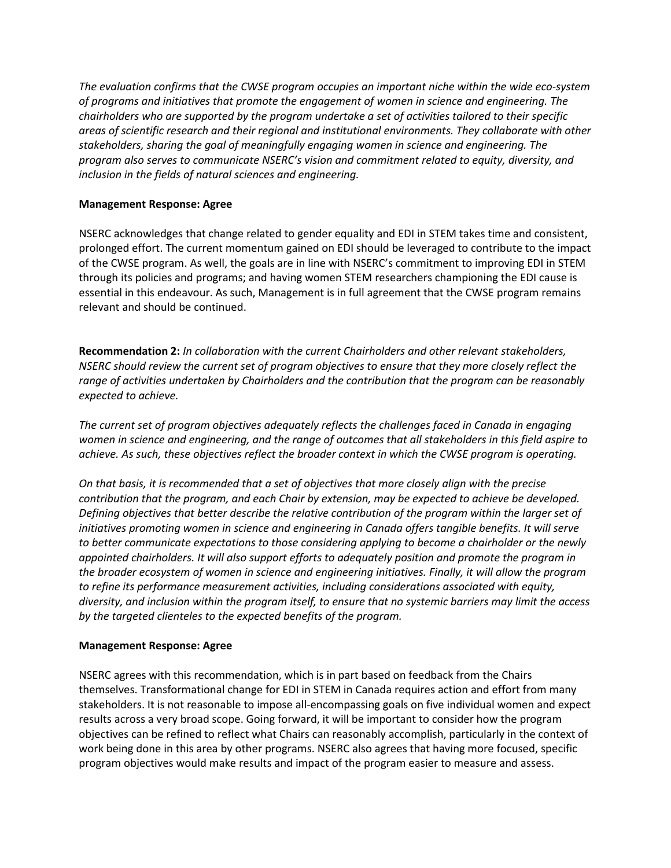*The evaluation confirms that the CWSE program occupies an important niche within the wide eco-system of programs and initiatives that promote the engagement of women in science and engineering. The chairholders who are supported by the program undertake a set of activities tailored to their specific areas of scientific research and their regional and institutional environments. They collaborate with other stakeholders, sharing the goal of meaningfully engaging women in science and engineering. The program also serves to communicate NSERC's vision and commitment related to equity, diversity, and inclusion in the fields of natural sciences and engineering.* 

## **Management Response: Agree**

NSERC acknowledges that change related to gender equality and EDI in STEM takes time and consistent, prolonged effort. The current momentum gained on EDI should be leveraged to contribute to the impact of the CWSE program. As well, the goals are in line with NSERC's commitment to improving EDI in STEM through its policies and programs; and having women STEM researchers championing the EDI cause is essential in this endeavour. As such, Management is in full agreement that the CWSE program remains relevant and should be continued.

**Recommendation 2:** *In collaboration with the current Chairholders and other relevant stakeholders, NSERC should review the current set of program objectives to ensure that they more closely reflect the range of activities undertaken by Chairholders and the contribution that the program can be reasonably expected to achieve.* 

*The current set of program objectives adequately reflects the challenges faced in Canada in engaging women in science and engineering, and the range of outcomes that all stakeholders in this field aspire to achieve. As such, these objectives reflect the broader context in which the CWSE program is operating.* 

*On that basis, it is recommended that a set of objectives that more closely align with the precise contribution that the program, and each Chair by extension, may be expected to achieve be developed. Defining objectives that better describe the relative contribution of the program within the larger set of initiatives promoting women in science and engineering in Canada offers tangible benefits. It will serve to better communicate expectations to those considering applying to become a chairholder or the newly appointed chairholders. It will also support efforts to adequately position and promote the program in the broader ecosystem of women in science and engineering initiatives. Finally, it will allow the program to refine its performance measurement activities, including considerations associated with equity, diversity, and inclusion within the program itself, to ensure that no systemic barriers may limit the access by the targeted clienteles to the expected benefits of the program.* 

## **Management Response: Agree**

NSERC agrees with this recommendation, which is in part based on feedback from the Chairs themselves. Transformational change for EDI in STEM in Canada requires action and effort from many stakeholders. It is not reasonable to impose all-encompassing goals on five individual women and expect results across a very broad scope. Going forward, it will be important to consider how the program objectives can be refined to reflect what Chairs can reasonably accomplish, particularly in the context of work being done in this area by other programs. NSERC also agrees that having more focused, specific program objectives would make results and impact of the program easier to measure and assess.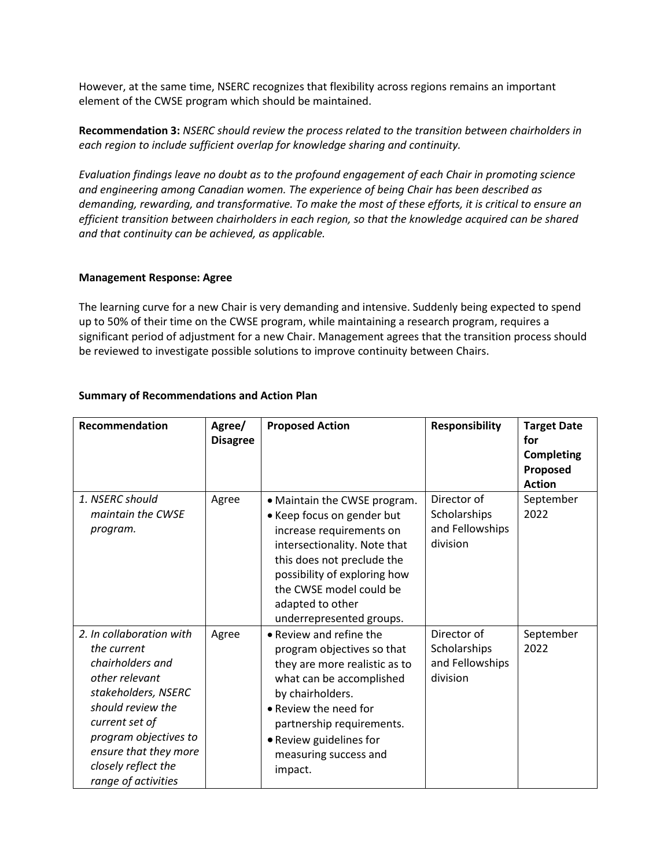However, at the same time, NSERC recognizes that flexibility across regions remains an important element of the CWSE program which should be maintained.

**Recommendation 3:** *NSERC should review the process related to the transition between chairholders in each region to include sufficient overlap for knowledge sharing and continuity.* 

*Evaluation findings leave no doubt as to the profound engagement of each Chair in promoting science and engineering among Canadian women. The experience of being Chair has been described as demanding, rewarding, and transformative. To make the most of these efforts, it is critical to ensure an efficient transition between chairholders in each region, so that the knowledge acquired can be shared and that continuity can be achieved, as applicable.* 

### **Management Response: Agree**

The learning curve for a new Chair is very demanding and intensive. Suddenly being expected to spend up to 50% of their time on the CWSE program, while maintaining a research program, requires a significant period of adjustment for a new Chair. Management agrees that the transition process should be reviewed to investigate possible solutions to improve continuity between Chairs.

| Recommendation                                                                                                                                                                                                                              | Agree/<br><b>Disagree</b> | <b>Proposed Action</b>                                                                                                                                                                                                                                          | <b>Responsibility</b>                                      | <b>Target Date</b><br>for<br><b>Completing</b><br>Proposed<br><b>Action</b> |
|---------------------------------------------------------------------------------------------------------------------------------------------------------------------------------------------------------------------------------------------|---------------------------|-----------------------------------------------------------------------------------------------------------------------------------------------------------------------------------------------------------------------------------------------------------------|------------------------------------------------------------|-----------------------------------------------------------------------------|
| 1. NSERC should<br>maintain the CWSE<br>program.                                                                                                                                                                                            | Agree                     | • Maintain the CWSE program.<br>• Keep focus on gender but<br>increase requirements on<br>intersectionality. Note that<br>this does not preclude the<br>possibility of exploring how<br>the CWSE model could be<br>adapted to other<br>underrepresented groups. | Director of<br>Scholarships<br>and Fellowships<br>division | September<br>2022                                                           |
| 2. In collaboration with<br>the current<br>chairholders and<br>other relevant<br>stakeholders, NSERC<br>should review the<br>current set of<br>program objectives to<br>ensure that they more<br>closely reflect the<br>range of activities | Agree                     | • Review and refine the<br>program objectives so that<br>they are more realistic as to<br>what can be accomplished<br>by chairholders.<br>• Review the need for<br>partnership requirements.<br>• Review guidelines for<br>measuring success and<br>impact.     | Director of<br>Scholarships<br>and Fellowships<br>division | September<br>2022                                                           |

## **Summary of Recommendations and Action Plan**